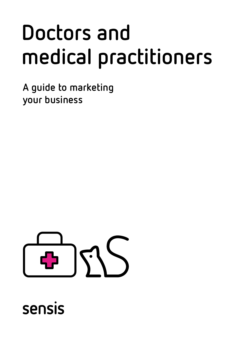# **Doctors and medical practitioners**

**A guide to marketing your business** 



sensis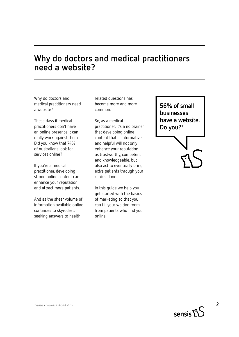#### **Why do doctors and medical practitioners need a website?**

Why do doctors and medical practitioners need a website?

These days if medical practitioners don't have an online presence it can really work against them. Did you know that 74% of Australians look for services online?

If you're a medical practitioner, developing strong online content can enhance your reputation and attract more patients.

And as the sheer volume of information available online continues to skyrocket, seeking answers to healthrelated questions has become more and more common.

So, as a medical practitioner, it's a no brainer that developing online content that is informative and helpful will not only enhance your reputation as trustworthy, competent and knowledgeable, but also act to eventually bring extra patients through your clinic's doors.

In this guide we help you get started with the basics of marketing so that you can fill your waiting room from patients who find you online.

**56% of small businesses have a website. Do you?1**

 $S$ 2 $\Omega$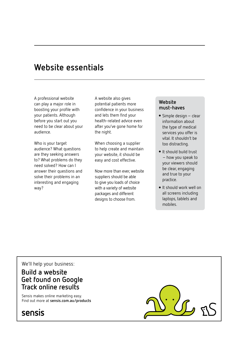#### **Website essentials**

A professional website can play a major role in boosting your profile with your patients. Although before you start out you need to be clear about your audience.

Who is your target audience? What questions are they seeking answers to? What problems do they need solved? How can I answer their questions and solve their problems in an interesting and engaging way?

A website also gives potential patients more confidence in your business and lets them find your health-related advice even after you've gone home for the night.

When choosing a supplier to help create and maintain your website, it should be easy and cost effective.

Now more than ever, website suppliers should be able to give you loads of choice with a variety of website packages and different designs to choose from.

#### **Website must-haves**

- $\bullet$  Simple design clear information about the type of medical services you offer is vital. It shouldn't be too distracting.
- It should build trust – how you speak to your viewers should be clear, engaging and true to your practice.
- **.** It should work well on all screens including laptops, tablets and mobiles.

We'll help your business:

#### **Build a website Get found on Google Track online results**

Sensis makes online marketing easy. Find out more at **sensis.com.au/products**



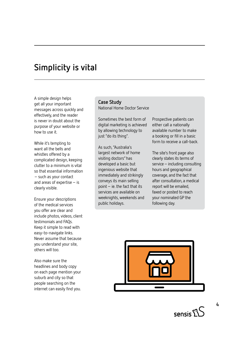## **Simplicity is vital**

A simple design helps get all your important messages across quickly and effectively, and the reader is never in doubt about the purpose of your website or how to use it.

While it's tempting to want all the bells and whistles offered by a complicated design, keeping clutter to a minimum is vital so that essential information – such as your contact and areas of expertise – is clearly visible.

Ensure your descriptions of the medical services you offer are clear and include photos, videos, client testimonials and FAQs. Keep it simple to read with easy-to-navigate links. Never assume that because you understand your site, others will too.

Also make sure the headlines and body copy on each page mention your suburb and city so that people searching on the internet can easily find you.

#### **Case Study** National Home Doctor Service

Sometimes the best form of digital marketing is achieved by allowing technology to just "do its thing".

As such, "Australia's largest network of home visiting doctors" has developed a basic but ingenious website that immediately and strikingly conveys its main selling point – ie. the fact that its services are available on weeknights, weekends and public holidays.

Prospective patients can either call a nationally available number to make a booking or fill in a basic form to receive a call-back.

The site's front page also clearly states its terms of service – including consulting hours and geographical coverage, and the fact that after consultation, a medical report will be emailed, faxed or posted to reach your nominated GP the following day.



sensis $\Sigma$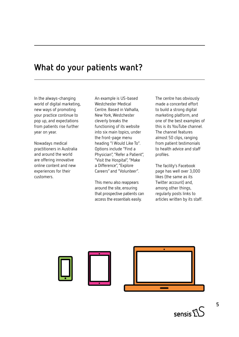#### **What do your patients want?**

In the always-changing world of digital marketing, new ways of promoting your practice continue to pop up, and expectations from patients rise further year on year.

Nowadays medical practitioners in Australia and around the world are offering innovative online content and new experiences for their customers.

An example is US-based Westchester Medical Centre. Based in Valhalla, New York, Westchester cleverly breaks the functioning of its website into six main topics, under the front-page menu heading "I Would Like To". Options include "Find a Physician", "Refer a Patient", "Visit the Hospital", "Make a Difference", "Explore Careers" and "Volunteer".

This menu also reappears around the site, ensuring that prospective patients can access the essentials easily.

The centre has obviously made a concerted effort to build a strong digital marketing platform, and one of the best examples of this is its YouTube channel. The channel features almost 50 clips, ranging from patient testimonials to health advice and staff profiles.

The facility's Facebook page has well over 3,000 likes (the same as its Twitter account) and, among other things, regularly posts links to articles written by its staff.



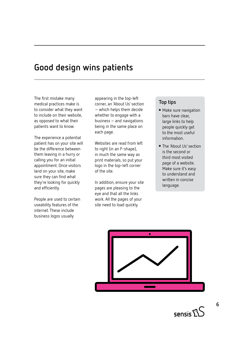#### **Good design wins patients**

The first mistake many medical practices make is to consider what they want to include on their website, as opposed to what their patients want to know.

The experience a potential patient has on your site will be the difference between them leaving in a hurry or calling you for an initial appointment. Once visitors land on your site, make sure they can find what they're looking for quickly and efficiently.

People are used to certain useability features of the internet. These include business logos usually

appearing in the top-left corner, an 'About Us' section – which helps them decide whether to engage with a business – and navigations being in the same place on each page.

Websites are read from left to right (in an F-shape), in much the same way as print materials, so put your logo in the top-left corner of the site.

In addition, ensure your site pages are pleasing to the eye and that all the links work. All the pages of your site need to load quickly.

#### **Top tips**

- Make sure navigation bars have clear, large links to help people quickly get to the most useful information.
- The 'About Us' section is the second or third most visited page of a website. Make sure it's easy to understand and written in concise language.



 $S$ ensis $\tilde{\Sigma}^{\rm C}$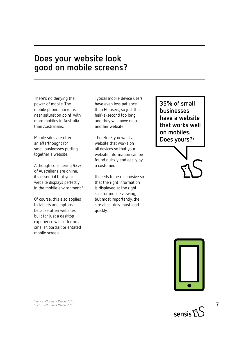#### **Does your website look good on mobile screens?**

There's no denying the power of mobile. The mobile phone market is near saturation point, with more mobiles in Australia than Australians.

Mobile sites are often an afterthought for small businesses putting together a website.

Although considering 93% of Australians are online, it's essential that your website displays perfectly in the mobile environment.<sup>3</sup>

Of course, this also applies to tablets and laptops because often websites built for just a desktop experience will suffer on a smaller, portrait orientated mobile screen.

Typical mobile device users have even less patience than PC users, so just that half-a-second too long and they will move on to another website.

Therefore, you want a website that works on all devices so that your website information can be found quickly and easily by a customer.

It needs to be responsive so that the right information is displayed at the right size for mobile viewing, but most importantly, the site absolutely must load quickly.

**35% of small businesses have a website that works well on mobiles. Does yours?2**



**7**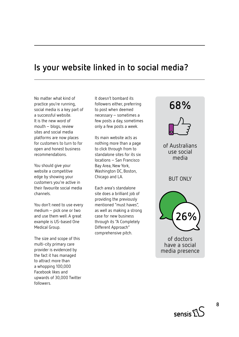#### **Is your website linked in to social media?**

No matter what kind of practice you're running, social media is a key part of a successful website. It is the new word of mouth – blogs, review sites and social media platforms are now places for customers to turn to for open and honest business recommendations.

You should give your website a competitive edge by showing your customers you're active in their favourite social media channels.

You don't need to use every medium – pick one or two and use them well. A great example is US-based One Medical Group.

The size and scope of this multi-city primary care provider is evidenced by the fact it has managed to attract more than a whopping 100,000 Facebook likes and upwards of 30,000 Twitter followers.

It doesn't bombard its followers either, preferring to post when deemed necessary – sometimes a few posts a day, sometimes only a few posts a week.

Its main website acts as nothing more than a page to click through from to standalone sites for its six locations – San Francisco Bay Area, New York, Washington DC, Boston, Chicago and LA.

Each area's standalone site does a brilliant job of providing the previously mentioned "must haves", as well as making a strong case for new business through its "A Completely Different Approach" comprehensive pitch.



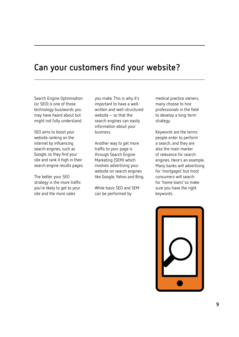## **Can your customers find your website?**

Search Engine Optimisation (or SEO) is one of those technology buzzwords you may have heard about but might not fully understand.

SEO aims to boost your website ranking on the internet by influencing search engines, such as Google, so they find your site and rank it high in their search engine results pages.

The better your SEO strategy is the more traffic you're likely to get to your site and the more sales

you make. This is why it's important to have a wellwritten and well-structured website – so that the search engines can easily information about your business.

Another way to get more traffic to your page is through Search Engine Marketing (SEM) which involves advertising your website on search engines like Google, Yahoo and Bing.

While basic SEO and SEM can be performed by

medical practice owners, many choose to hire professionals in the field to develop a long-term strategy.

Keywords are the terms people enter to perform a search, and they are also the main marker of relevance for search engines. Here's an example. Many banks will advertising for 'mortgages' but most consumers will search for 'home loans' so make sure you have the right keywords.

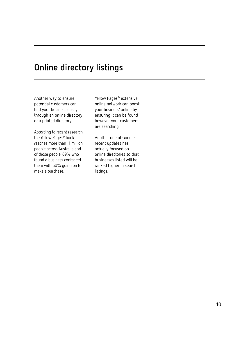## **Online directory listings**

Another way to ensure potential customers can find your business easily is through an online directory or a printed directory.

According to recent research, the Yellow Pages® book reaches more than 11 million people across Australia and of those people, 69% who found a business contacted them with 60% going on to make a purchase.

Yellow Pages® extensive online network can boost your business' online by ensuring it can be found however your customers are searching.

Another one of Google's recent updates has actually focused on online directories so that businesses listed will be ranked higher in search listings.